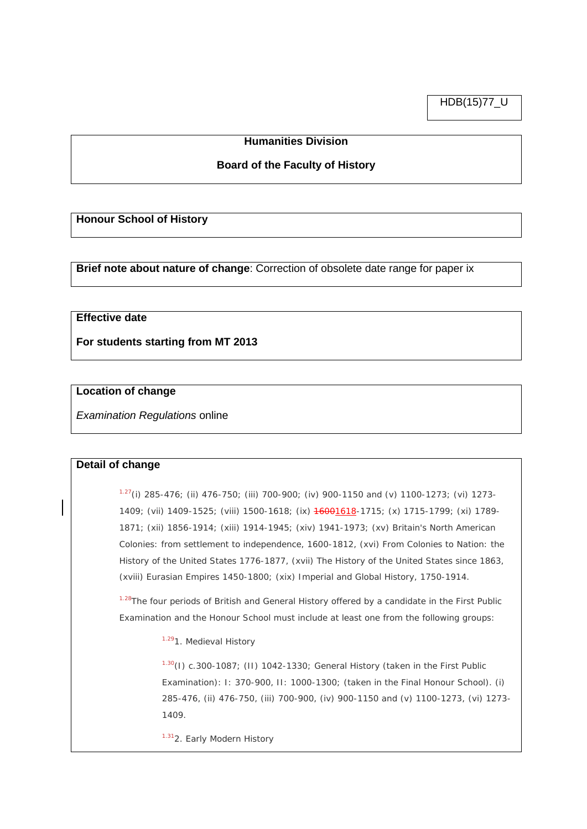HDB(15)77\_U

## **Humanities Division**

## **Board of the Faculty of History**

#### **Honour School of History**

**Brief note about nature of change**: Correction of obsolete date range for paper ix

# **Effective date**

**For students starting from MT 2013**

## **Location of change**

*Examination Regulations* online

#### **Detail of change**

 $1.27$ (i) 285-476; (ii) 476-750; (iii) 700-900; (iv) 900-1150 and (v) 1100-1273; (vi) 1273-1409; (vii) 1409-1525; (viii) 1500-1618; (ix) 16001618-1715; (x) 1715-1799; (xi) 1789- 1871; (xii) 1856-1914; (xiii) 1914-1945; (xiv) 1941-1973; (xv) Britain's North American Colonies: from settlement to independence, 1600-1812, (xvi) From Colonies to Nation: the History of the United States 1776-1877, (xvii) The History of the United States since 1863, (xviii) Eurasian Empires 1450-1800; (xix) Imperial and Global History, 1750-1914.

1.28The four periods of British and General History offered by a candidate in the First Public Examination and the Honour School must include at least one from the following groups:

1.291. Medieval History

 $1.30(1)$  c.300-1087; (II) 1042-1330; General History (taken in the First Public Examination): I: 370-900, II: 1000-1300; (taken in the Final Honour School). (i) 285-476, (ii) 476-750, (iii) 700-900, (iv) 900-1150 and (v) 1100-1273, (vi) 1273- 1409.

1.312. Early Modern History